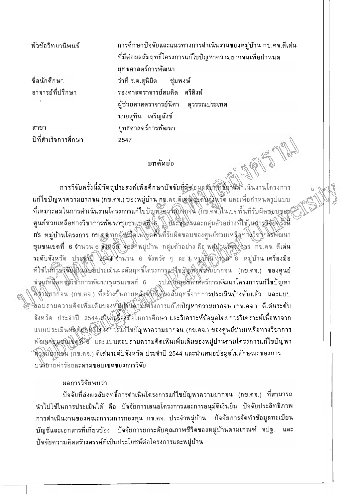| หัวข้อวิทยานิพนธ์   | การศึกษาปัจจัยและแนวทางการดำเนินงานของหมู่บ้าน กข.คจ.ดีเด่น |
|---------------------|-------------------------------------------------------------|
|                     | ที่มีด่อผลสัมฤทธิ์โครงการแก้ไขปัญหาความยากจนเพื่อกำหนด      |
|                     | ยุทธศาสตร์การพัฒนา                                          |
| ชื่อนักศึกษา        | ว่าที่ ร.ต.สุนิมิต ชุ่มพงษ์                                 |
| อาจารย์ที่ปรึกษา    | รองศาสตราจารย์สมคิด ศรีสิงห์                                |
|                     | ผู้ช่วยศาสตราจารย์นิศา สุวรรณประเทศ                         |
|                     | นายสุทิน เจริญสังข์                                         |
| สาขา                | ยุทธศาสตร์การพัฒนา                                          |
| ปีที่สำเร็จการศึกษา | 2547<br>$-$                                                 |

## บทคัดย่อ

การวิจัยครั้งนี้มีวัดถุประสงค์เพื่อศึกษาปัจจัยที่มีต่อผลสับฤทธิ์การดำเนินงานโครงการ แก้ไขปัญหาความยากจน (กข.คจ.) ของหมู่บ้าน กฆ.คจ.ดีเต่น โรดีบุ๋จิมุวัด และเพื่อกำหนดรูปแบบ ที่เหมาะสมในการดำเนินงานโครงการแก้ไขบัญหัวลวุวัสยงกอน (กข.คจ.)ในเขตพื้นที่รับผิดชอบของจึ ี่ ศูนย์ช่วยเหลือทางวิชาการพัฒนาชุมชนเขศที่ (6 ) ประชาครและกลุ่มด้วอย่างที่ใช้ในสารวิจัยครั้งนี้ n's หมู่บ้านโครงการ กข.อ.ทุกจังหรัดในเขตที่นี้ที่รับผิดชอบของศูนย์ช่วยเหลือทางวิชาการพัฒนา ชุมชนเขดที่ 6 จำนวน 6 รัฐหวัด 469 หมู่บ้าน กลุ่มด้วอย่าง คือ หมู่บ้านใต้รับคลร กับ.คจ. ดีเด่น ระดับจังหวัด ประชุปปี 2544 จำนวน 6 จังหวัด ๆ ละ 3 หมู่ปี่สมไว้ร่มได้ หมู่บ้าน เครื่องมือ ที่ใช้ในกัวรุจิจัยมีในแบบประเมินผลสัมฤทธิ์โครงการแล้ไขมัญหิงสิจิวัยยากจน (กข.คจ.) ของศูนย์ ช่วยให้ถือทสมวิชาการพัฒนาชุมชนเขตที่ 6 รูปแบบยุษธิศักริตร์การพัฒนาโครงการแก้ไขปัญหา คี่ข้ามยาก่จน (กข.คจ.) ที่สร้างขึ้นภายหลังชาฟิติผลสัมฤทธิ์จากการประเมินข้างด้นแล้ว และแบบ ีสอบถามความคิดเพิ่มเดิมของห้มู่ห้านิดามโครงการแก้ไขบัญหาความยากจน (กข.คจ.) ดีเด่นระดับ จังหวัด ประจำปี 2544 เป็นเครืองมือในการศึกษา และวิเคราะห์ข้อมูลโดยการวิเคราะห์เนื้อหาจาก แบบประเมินศลสัยพิทธิ์ไดรงการแก้ไขบัญหาความยากจน (กข.คจ.) ของศูนย์ช่วยเหลือทางวิชาการ พัฒนาจันมุสุนโบโปร์ และแบบสอบถามความคิดเห็นเพิ่มเติมของหมู่บ้านตามโครงการแก้ไขปัญหา ี่ติวขับมาโลน (กข.คจ.) ดีเด่นระดับจังหวัด ประจำปี 2544 และนำเสนอข้อมูลในลักษณะของการ บรรยายค่าร้อยละดามขอบเขตของการวิจัย

## ผลการวิจัยพบว่า

ปัจจัยที่ส่งผลสัมฤทธิ์การดำเนินโครงการแก้ไขปัญหาความยากจน (กข.คจ.) ที่สามารถ นำไปใช้ในการประเมินได้ คือ ปัจจัยการเสนอโครงการและการอนุมัติเงินยืม ปัจจัยประสิทธิภาพ การดำเนินงานของคณะกรรมการกองทุน กข.คจ. ประจำหมู่บ้าน ปัจจัยการจัดทำข้อมูลทะเบียน บัญชีและเอกสารที่เกี่ยวข้อง บัจจัยการยกระดับคุณภาพชีวิตของหมู่บ้านดามเกณฑ์ จปฐ. และ ปัจจัยความคิดสร้างสรรค์ที่เป็นประโยชน์ต่อโครงการและหมู่บ้าน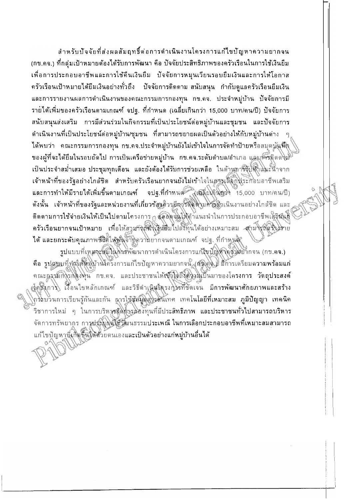สำหรับปัจจัยที่ส่งผลสัมฤทธิ์ด่อการดำเนินงานโครงการแก้ไขปัญหาความยากจน (กข.คจ.) ที่กล่มเป้าหมายด้องได้รับการพัฒนา คือ ปัจจัยประสิทธิภาพของครัวเรือนในการใช้เงินยืม เพื่อการประกอบอาชีพและการใช้คืนเงินยืม ปัจจัยการหมุนเวียนรอบยืมเงินและการให้โอกาส ้ครัวเรือนเป้าหมายได้ยืมเงินอย่างทั่วถึง ปัจจัยการดิดดาม…สนับสนุน กำกับดูแลครัวเรือนยืมเงิน และการรายงานผลการดำเนินงานของคณะกรรมการกองทุน กข.คจ. ประจำหมู่บ้าน ปัจจัยการมี รายใด้เพิ่มของครัวเรือนดามเกณฑ์ จปฐ. ที่กำหนด (เฉลี่ยเกินกว่า 15,000 บาท/คน/ปี) ปัจจัยการ สนับสนุนส่งเสริม การมีส่วนร่วมในกิจกรรมที่เป็นประโยชน์ต่อหมู่บ้านและชุมชน และปัจจัยการ ้ดำเนินงานที่เป็นประโยชน์ด่อหมู่บ้าน/ชุมชน ที่สามารถขยายผลเป็นด้วอย่างให้กับหมู่บ้านด่าง ๆ ได้พบว่า คณะกรรมการกองทุน กข.คจ.ประจำหมู่บ้านยังไม่เข้าใจในการจัดทำป้ายหรือสมุดบันที่สิก ของผู้ที่จะได้ยืมในรอบถัดไป การเป็นเครือข่ายหมู่บ้าน กข.คจ.ระดับดำบล/อำเภอ และกรรฐ์ดดไม่ใ เป็นประจำสม่ำเสมอ ประชุมทุกเดือน และยังด้องได้รับการช่วยเหลือ ในต้านถาร์จังสิกโนะน้ำจาก เจ้าหน้าที่ของรัฐอย่างใกล้ชิด สำหรับครัวเรือนยากจนยังไม่เข้าใจในครรูเล็อกิปุระกิอบอาชีพเสริม และการทำให้มีรายได้เพิ่มขึ้นดามเกณฑ์ จปฐ.ที่กำหนด์ (เอลียโกินคูง 15,000 บาท/คน/ปี) ดังนั้น เจ้าหน้าที่ของรัฐและหน่วยงานที่เกี่ยวข้องคิวรูมีการติดคิ้งมหารติกเนินงานอย่างใกล้ชิด และ ติดตามการใช้จ่ายเงินให้เป็นไปตามโครงการ 3 ตุลอิตจินให้คำแนะนำในการประกอบอาชีพเสิริมแก้ ครัวเรือนยากจนเป้าหมาย เพื่อให้สามาจุกันฟุงินยิ้มไปสรีทันได้อย่างเหมาะสม สามารถสรังมาย ใต้ และยกระดับคุณภาพชีวิติให้ฟูนิจัากิความยากจนตามเกณฑ์ จปฐ. ที่กำหนด

รูปแบบที่เหมาะสมในการพัฒนาการดำเนินโครงการแก้ไขปัญหาดูสิ่งยากจน (กข.คจ.) คือ รูปแบบที่ทุสให้หมู่บ้านโครงการแก้ไขปัญหาความยากจนี้ (สมิ)คุ่ง มีการเตรียมความพร้อมแก่ คณะกรรมกิจรกองทุน กข.คจ. และประชาชนให้เช่าโจก็งิคงามเป็นมาของโครงการ วัตถุประสงค์ สุดโลการ เรือนไขหลักเกณฑ์ และวิธีดำเนินโครงการที่ชัดเจน มีการพัฒนาศักยภาพและสร้าง ทรรบวินการเรียนรู้กันและกัน การใช้ชัยมูลสูงรสนเทศ เทคโนโลยีที่เหมาะสม ภูมิปัญญา เทคนิค ์วิชาการใหม่ ๆ ในการบริหารสัดค์จรดองทุนที่มีประสิทธิภาพ และประชาชนทั่วไปสามารถบริหาร จัดการทรัพยากร การปรุงิมิพิจัยวัฒนธรรมประเพณี ในการเลือกประกอบอาชีพที่เหมาะสมสามารถ แก้ไขปัญหาที่เกิดขึ้นได้ด้วยดนเองและเป็นด้วอย่างแก่หมู่บ้านอื่นได้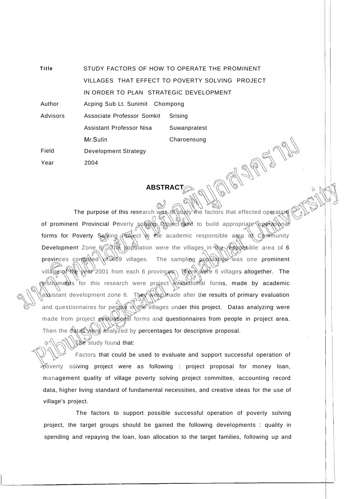**Title** 

Field

STUDY FACTORS OF HOW TO OPERATE THE PROMINENT VILLAGES THAT EFFECT TO POVERTY SOLVING PROJECT IN ORDER TO PLAN STRATEGIC DEVELOPMENT

Author Acping Sub Lt. Sunimit Chompong

Advisors Associate Professor Somkit Srising

| Assistant Professor Nisa | Suwanpratest |
|--------------------------|--------------|
| Mr.Sutin                 | Charoensung  |
| Development Strategy     |              |

Year 2004

The purpose of this research was to study the factors that effected operation of prominent Provincial Poverty solving Project and to build appropriate operational forms for Poverty Solving Project in the academic responsible area of Community Development Zone 6. The population were the villages in the responsible area of 6 provinces consisted of 469 villages. The sampling population was one prominent village of the year 2001 from each 6 provinces. There were 6 villages altogether. The instruments for this research were project evaluational forms, made by academic assistant development zone 6. They weigt made after the results of primary evaluation and questionnaires for people in the villages under this project. Datas analyzing were made from project evaluational forms and questionnaires from people in project area. Then the datas were analyzed by percentages for descriptive proposal.

**ABSTRACT** 

JASPE

 $\mathbb{Z}$ be study found that:

Factors that could be used to evaluate and support successful operation of poverty solving project were as following : project proposal for money loan, management quality of village poverty solving project committee, accounting record data, higher living standard of fundamental necessities, and creative ideas for the use of village's project.

The factors to support possible successful operation of poverty solving project, the target groups should be gained the following developments : quality in spending and repaying the loan, loan allocation to the target families, following up and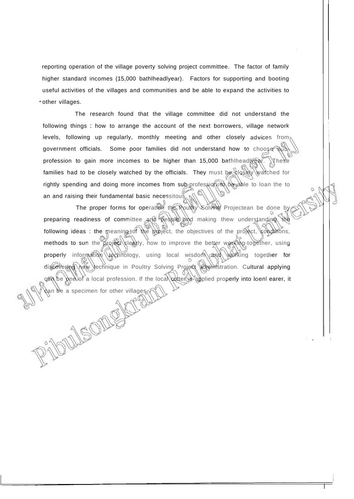reporting operation of the village poverty solving project committee. The factor of family higher standard incomes (15,000 bathlheadlyear). Factors for supporting and booting useful activities of the villages and communities and be able to expand the activities to other villages.

The research found that the village committee did not understand the following things : how to arrange the account of the next borrowers, village network levels, following up regularly, monthly meeting and other closely advices from government officials. Some poor families did not understand how to choose subprofession to gain more incomes to be higher than 15,000 bathlheadlyear. These families had to be closely watched by the officials. They must be closely watched for rightly spending and doing more incomes from sub-profession to be able to loan the to an and raising their fundamental basic necessitous.

The proper forms for operation the Poultry Solving Projectean be done by preparing readiness of committee and people and making thew understanding the following ideas : the meaning of the project, the objectives of the project, conditions, methods to sun the project clearly, how to improve the better working-together, using properly information technology, using local wisdom and working together for discovering hew lechnique in Poultry Solving Project administration. Cultural applying can be one of a local profession. If the local cutter is applied properly into loenl earer, it an be a specimen for other villages.

Ibille